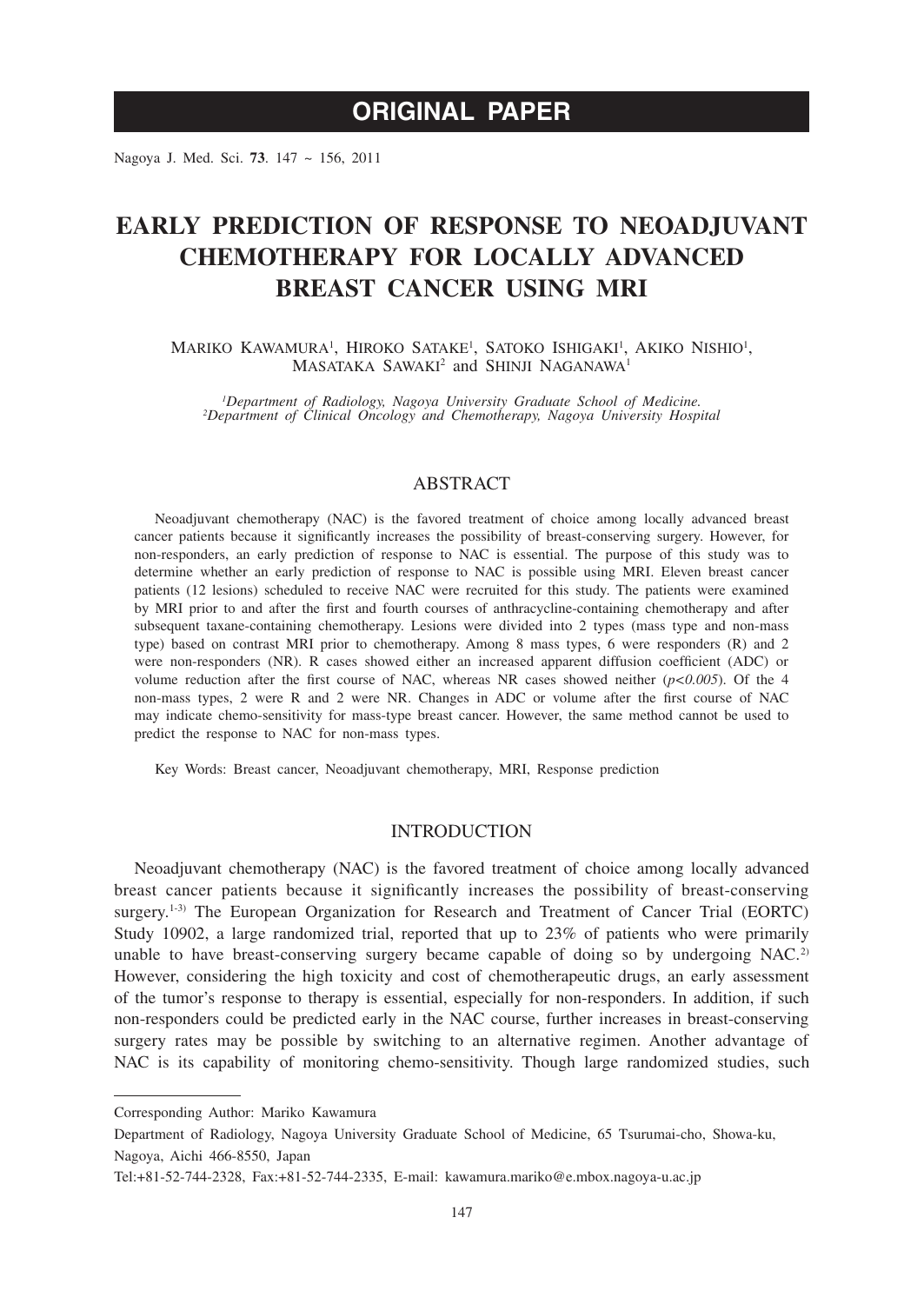# **ORIGINAL PAPER**

Nagoya J. Med. Sci. **73**. 147 ~ 156, 2011

# **EARLY PREDICTION OF RESPONSE TO NEOADJUVANT CHEMOTHERAPY FOR LOCALLY ADVANCED BREAST CANCER USING MRI**

MARIKO KAWAMURA<sup>1</sup>, HIROKO SATAKE<sup>1</sup>, SATOKO ISHIGAKI<sup>1</sup>, AKIKO NISHIO<sup>1</sup>, MASATAKA SAWAKI<sup>2</sup> and SHINJI NAGANAWA<sup>1</sup>

*1 Department of Radiology, Nagoya University Graduate School of Medicine. <sup>2</sup> Department of Clinical Oncology and Chemotherapy, Nagoya University Hospital*

## ABSTRACT

Neoadjuvant chemotherapy (NAC) is the favored treatment of choice among locally advanced breast cancer patients because it significantly increases the possibility of breast-conserving surgery. However, for non-responders, an early prediction of response to NAC is essential. The purpose of this study was to determine whether an early prediction of response to NAC is possible using MRI. Eleven breast cancer patients (12 lesions) scheduled to receive NAC were recruited for this study. The patients were examined by MRI prior to and after the first and fourth courses of anthracycline-containing chemotherapy and after subsequent taxane-containing chemotherapy. Lesions were divided into 2 types (mass type and non-mass type) based on contrast MRI prior to chemotherapy. Among 8 mass types, 6 were responders (R) and 2 were non-responders (NR). R cases showed either an increased apparent diffusion coefficient (ADC) or volume reduction after the first course of NAC, whereas NR cases showed neither (*p<0.005*). Of the 4 non-mass types, 2 were R and 2 were NR. Changes in ADC or volume after the first course of NAC may indicate chemo-sensitivity for mass-type breast cancer. However, the same method cannot be used to predict the response to NAC for non-mass types.

Key Words: Breast cancer, Neoadjuvant chemotherapy, MRI, Response prediction

## **INTRODUCTION**

Neoadjuvant chemotherapy (NAC) is the favored treatment of choice among locally advanced breast cancer patients because it significantly increases the possibility of breast-conserving surgery.<sup>1-3)</sup> The European Organization for Research and Treatment of Cancer Trial (EORTC) Study 10902, a large randomized trial, reported that up to 23% of patients who were primarily unable to have breast-conserving surgery became capable of doing so by undergoing  $NAC$ <sup>2)</sup> However, considering the high toxicity and cost of chemotherapeutic drugs, an early assessment of the tumor's response to therapy is essential, especially for non-responders. In addition, if such non-responders could be predicted early in the NAC course, further increases in breast-conserving surgery rates may be possible by switching to an alternative regimen. Another advantage of NAC is its capability of monitoring chemo-sensitivity. Though large randomized studies, such

Corresponding Author: Mariko Kawamura

Department of Radiology, Nagoya University Graduate School of Medicine, 65 Tsurumai-cho, Showa-ku, Nagoya, Aichi 466-8550, Japan

Tel:+81-52-744-2328, Fax:+81-52-744-2335, E-mail: kawamura.mariko@e.mbox.nagoya-u.ac.jp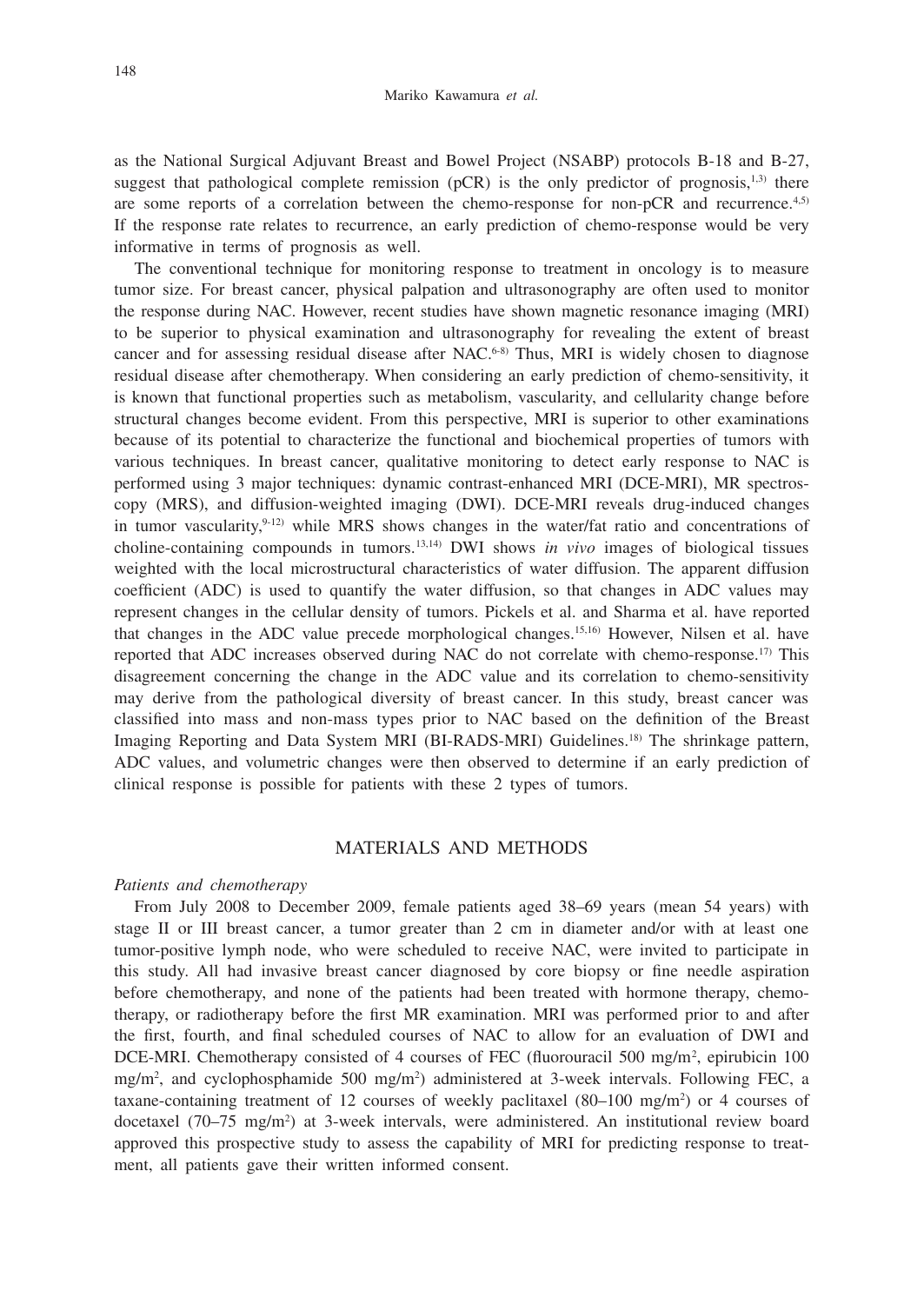as the National Surgical Adjuvant Breast and Bowel Project (NSABP) protocols B-18 and B-27, suggest that pathological complete remission (pCR) is the only predictor of prognosis,<sup>1,3)</sup> there are some reports of a correlation between the chemo-response for non-pCR and recurrence.4,5) If the response rate relates to recurrence, an early prediction of chemo-response would be very informative in terms of prognosis as well.

The conventional technique for monitoring response to treatment in oncology is to measure tumor size. For breast cancer, physical palpation and ultrasonography are often used to monitor the response during NAC. However, recent studies have shown magnetic resonance imaging (MRI) to be superior to physical examination and ultrasonography for revealing the extent of breast cancer and for assessing residual disease after  $NAC<sub>6-8</sub>$  Thus, MRI is widely chosen to diagnose residual disease after chemotherapy. When considering an early prediction of chemo-sensitivity, it is known that functional properties such as metabolism, vascularity, and cellularity change before structural changes become evident. From this perspective, MRI is superior to other examinations because of its potential to characterize the functional and biochemical properties of tumors with various techniques. In breast cancer, qualitative monitoring to detect early response to NAC is performed using 3 major techniques: dynamic contrast-enhanced MRI (DCE-MRI), MR spectroscopy (MRS), and diffusion-weighted imaging (DWI). DCE-MRI reveals drug-induced changes in tumor vascularity, $9-12$ ) while MRS shows changes in the water/fat ratio and concentrations of choline-containing compounds in tumors.13,14) DWI shows *in vivo* images of biological tissues weighted with the local microstructural characteristics of water diffusion. The apparent diffusion coefficient (ADC) is used to quantify the water diffusion, so that changes in ADC values may represent changes in the cellular density of tumors. Pickels et al. and Sharma et al. have reported that changes in the ADC value precede morphological changes.15,16) However, Nilsen et al. have reported that ADC increases observed during NAC do not correlate with chemo-response.<sup>17)</sup> This disagreement concerning the change in the ADC value and its correlation to chemo-sensitivity may derive from the pathological diversity of breast cancer. In this study, breast cancer was classified into mass and non-mass types prior to NAC based on the definition of the Breast Imaging Reporting and Data System MRI (BI-RADS-MRI) Guidelines.18) The shrinkage pattern, ADC values, and volumetric changes were then observed to determine if an early prediction of clinical response is possible for patients with these 2 types of tumors.

### MATERIALS AND METHODS

#### *Patients and chemotherapy*

From July 2008 to December 2009, female patients aged 38–69 years (mean 54 years) with stage II or III breast cancer, a tumor greater than 2 cm in diameter and/or with at least one tumor-positive lymph node, who were scheduled to receive NAC, were invited to participate in this study. All had invasive breast cancer diagnosed by core biopsy or fine needle aspiration before chemotherapy, and none of the patients had been treated with hormone therapy, chemotherapy, or radiotherapy before the first MR examination. MRI was performed prior to and after the first, fourth, and final scheduled courses of NAC to allow for an evaluation of DWI and DCE-MRI. Chemotherapy consisted of 4 courses of FEC (fluorouracil 500 mg/m<sup>2</sup>, epirubicin 100 mg/m2 , and cyclophosphamide 500 mg/m2 ) administered at 3-week intervals. Following FEC, a taxane-containing treatment of 12 courses of weekly paclitaxel  $(80-100 \text{ mg/m}^2)$  or 4 courses of docetaxel (70–75 mg/m<sup>2</sup>) at 3-week intervals, were administered. An institutional review board approved this prospective study to assess the capability of MRI for predicting response to treatment, all patients gave their written informed consent.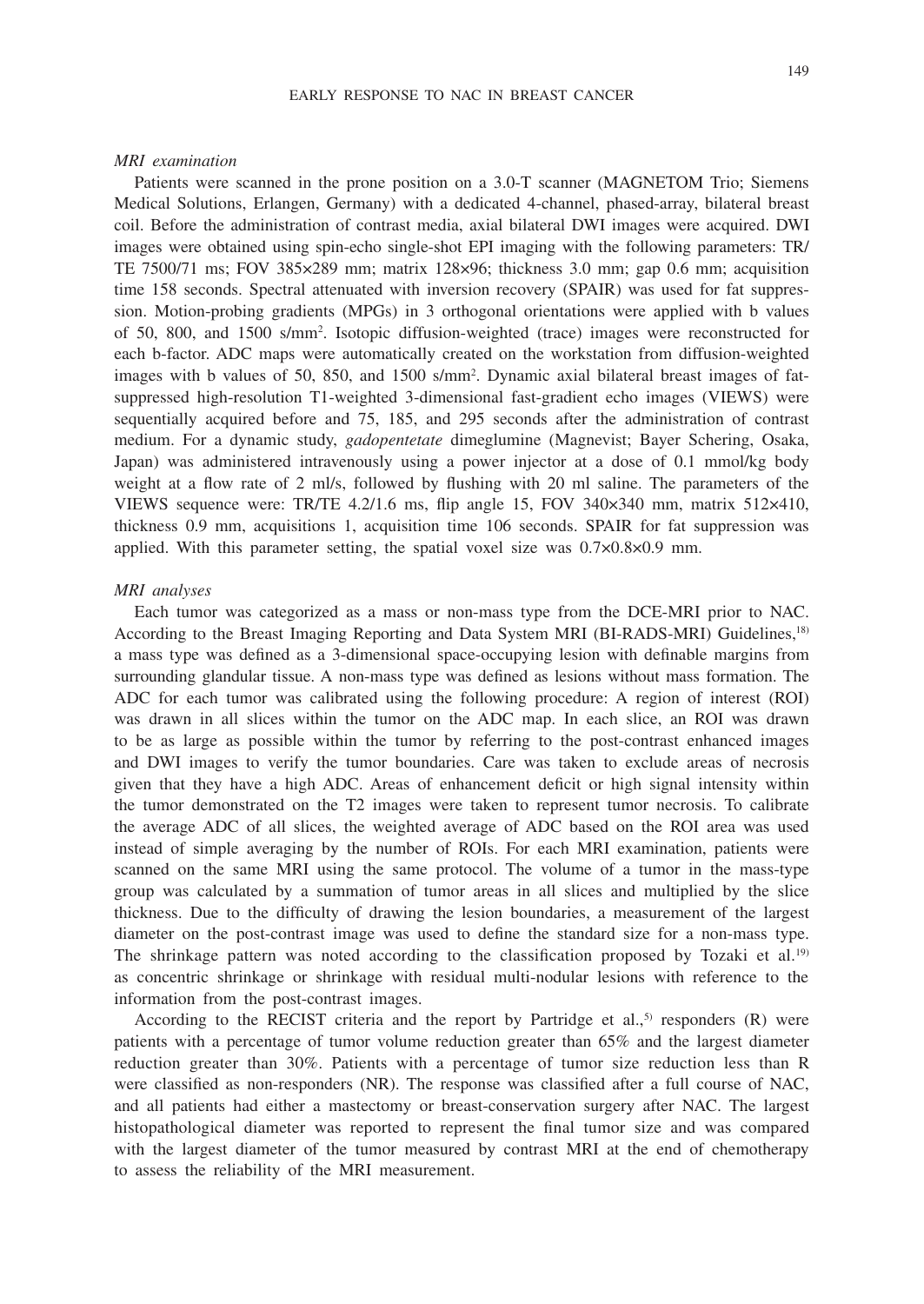#### EARLY RESPONSE TO NAC IN BREAST CANCER

#### *MRI examination*

Patients were scanned in the prone position on a 3.0-T scanner (MAGNETOM Trio; Siemens Medical Solutions, Erlangen, Germany) with a dedicated 4-channel, phased-array, bilateral breast coil. Before the administration of contrast media, axial bilateral DWI images were acquired. DWI images were obtained using spin-echo single-shot EPI imaging with the following parameters: TR/ TE 7500/71 ms; FOV 385×289 mm; matrix 128×96; thickness 3.0 mm; gap 0.6 mm; acquisition time 158 seconds. Spectral attenuated with inversion recovery (SPAIR) was used for fat suppression. Motion-probing gradients (MPGs) in 3 orthogonal orientations were applied with b values of 50, 800, and 1500 s/mm2 . Isotopic diffusion-weighted (trace) images were reconstructed for each b-factor. ADC maps were automatically created on the workstation from diffusion-weighted images with b values of 50, 850, and 1500 s/mm2 . Dynamic axial bilateral breast images of fatsuppressed high-resolution T1-weighted 3-dimensional fast-gradient echo images (VIEWS) were sequentially acquired before and 75, 185, and 295 seconds after the administration of contrast medium. For a dynamic study, *gadopentetate* dimeglumine (Magnevist; Bayer Schering, Osaka, Japan) was administered intravenously using a power injector at a dose of 0.1 mmol/kg body weight at a flow rate of 2 ml/s, followed by flushing with 20 ml saline. The parameters of the VIEWS sequence were: TR/TE 4.2/1.6 ms, flip angle 15, FOV 340×340 mm, matrix 512×410, thickness 0.9 mm, acquisitions 1, acquisition time 106 seconds. SPAIR for fat suppression was applied. With this parameter setting, the spatial voxel size was 0.7×0.8×0.9 mm.

#### *MRI analyses*

Each tumor was categorized as a mass or non-mass type from the DCE-MRI prior to NAC. According to the Breast Imaging Reporting and Data System MRI (BI-RADS-MRI) Guidelines,18) a mass type was defined as a 3-dimensional space-occupying lesion with definable margins from surrounding glandular tissue. A non-mass type was defined as lesions without mass formation. The ADC for each tumor was calibrated using the following procedure: A region of interest (ROI) was drawn in all slices within the tumor on the ADC map. In each slice, an ROI was drawn to be as large as possible within the tumor by referring to the post-contrast enhanced images and DWI images to verify the tumor boundaries. Care was taken to exclude areas of necrosis given that they have a high ADC. Areas of enhancement deficit or high signal intensity within the tumor demonstrated on the T2 images were taken to represent tumor necrosis. To calibrate the average ADC of all slices, the weighted average of ADC based on the ROI area was used instead of simple averaging by the number of ROIs. For each MRI examination, patients were scanned on the same MRI using the same protocol. The volume of a tumor in the mass-type group was calculated by a summation of tumor areas in all slices and multiplied by the slice thickness. Due to the difficulty of drawing the lesion boundaries, a measurement of the largest diameter on the post-contrast image was used to define the standard size for a non-mass type. The shrinkage pattern was noted according to the classification proposed by Tozaki et al.<sup>19)</sup> as concentric shrinkage or shrinkage with residual multi-nodular lesions with reference to the information from the post-contrast images.

According to the RECIST criteria and the report by Partridge et al.,<sup>5)</sup> responders (R) were patients with a percentage of tumor volume reduction greater than 65% and the largest diameter reduction greater than 30%. Patients with a percentage of tumor size reduction less than R were classified as non-responders (NR). The response was classified after a full course of NAC, and all patients had either a mastectomy or breast-conservation surgery after NAC. The largest histopathological diameter was reported to represent the final tumor size and was compared with the largest diameter of the tumor measured by contrast MRI at the end of chemotherapy to assess the reliability of the MRI measurement.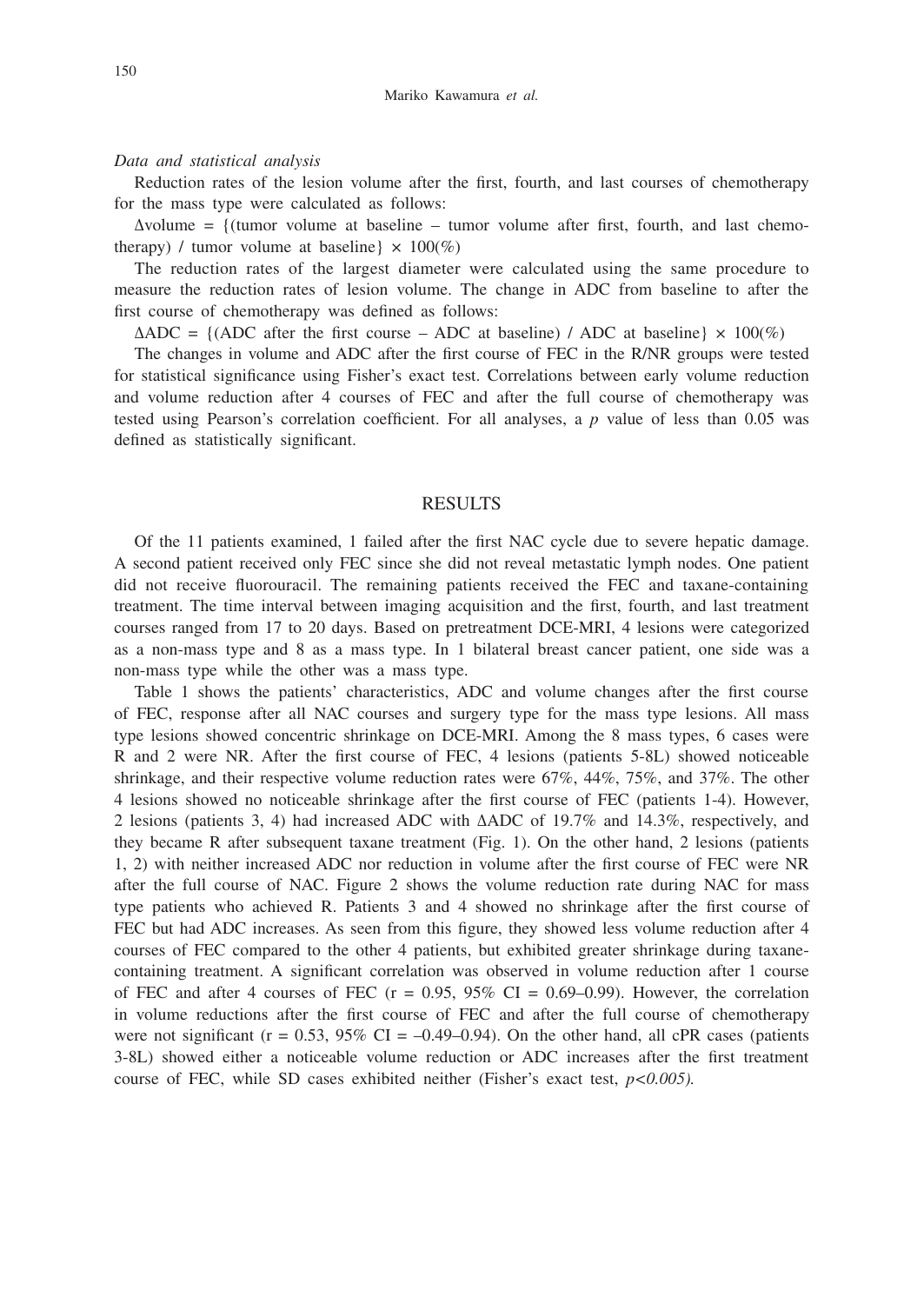#### *Data and statistical analysis*

Reduction rates of the lesion volume after the first, fourth, and last courses of chemotherapy for the mass type were calculated as follows:

 $\Delta$ volume = {(tumor volume at baseline – tumor volume after first, fourth, and last chemotherapy) / tumor volume at baseline  $\times 100\%$ 

The reduction rates of the largest diameter were calculated using the same procedure to measure the reduction rates of lesion volume. The change in ADC from baseline to after the first course of chemotherapy was defined as follows:

 $\triangle ADC = \{ (ADC after the first course - ADC at baseline) / ADC at baseline \} \times 100\%$ 

The changes in volume and ADC after the first course of FEC in the R/NR groups were tested for statistical significance using Fisher's exact test. Correlations between early volume reduction and volume reduction after 4 courses of FEC and after the full course of chemotherapy was tested using Pearson's correlation coefficient. For all analyses, a *p* value of less than 0.05 was defined as statistically significant.

## RESULTS

Of the 11 patients examined, 1 failed after the first NAC cycle due to severe hepatic damage. A second patient received only FEC since she did not reveal metastatic lymph nodes. One patient did not receive fluorouracil. The remaining patients received the FEC and taxane-containing treatment. The time interval between imaging acquisition and the first, fourth, and last treatment courses ranged from 17 to 20 days. Based on pretreatment DCE-MRI, 4 lesions were categorized as a non-mass type and 8 as a mass type. In 1 bilateral breast cancer patient, one side was a non-mass type while the other was a mass type.

Table 1 shows the patients' characteristics, ADC and volume changes after the first course of FEC, response after all NAC courses and surgery type for the mass type lesions. All mass type lesions showed concentric shrinkage on DCE-MRI. Among the 8 mass types, 6 cases were R and 2 were NR. After the first course of FEC, 4 lesions (patients 5-8L) showed noticeable shrinkage, and their respective volume reduction rates were 67%, 44%, 75%, and 37%. The other 4 lesions showed no noticeable shrinkage after the first course of FEC (patients 1-4). However, 2 lesions (patients 3, 4) had increased ADC with ∆ADC of 19.7% and 14.3%, respectively, and they became R after subsequent taxane treatment (Fig. 1). On the other hand, 2 lesions (patients 1, 2) with neither increased ADC nor reduction in volume after the first course of FEC were NR after the full course of NAC. Figure 2 shows the volume reduction rate during NAC for mass type patients who achieved R. Patients 3 and 4 showed no shrinkage after the first course of FEC but had ADC increases. As seen from this figure, they showed less volume reduction after 4 courses of FEC compared to the other 4 patients, but exhibited greater shrinkage during taxanecontaining treatment. A significant correlation was observed in volume reduction after 1 course of FEC and after 4 courses of FEC ( $r = 0.95$ ,  $95\%$  CI = 0.69–0.99). However, the correlation in volume reductions after the first course of FEC and after the full course of chemotherapy were not significant ( $r = 0.53$ ,  $95\%$  CI = -0.49-0.94). On the other hand, all cPR cases (patients 3-8L) showed either a noticeable volume reduction or ADC increases after the first treatment course of FEC, while SD cases exhibited neither (Fisher's exact test, *p<0.005).*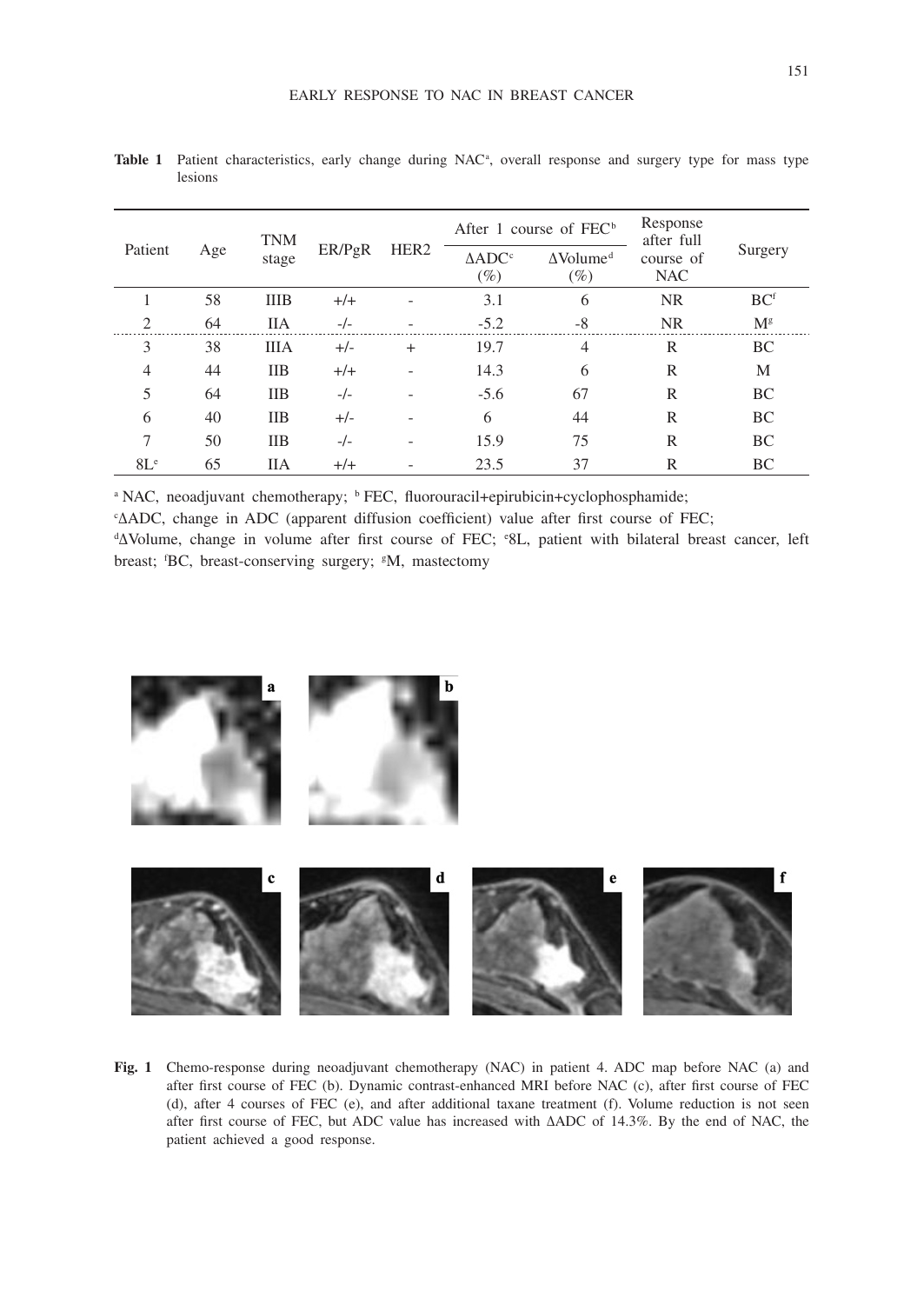| Patient        | Age | <b>TNM</b><br>stage | ER/PgR | HER <sub>2</sub> | After 1 course of $FEC^b$   |                                        | Response<br>after full  |                 |
|----------------|-----|---------------------|--------|------------------|-----------------------------|----------------------------------------|-------------------------|-----------------|
|                |     |                     |        |                  | $\triangle ADC^c$<br>$(\%)$ | $\Delta$ Volume <sup>d</sup><br>$(\%)$ | course of<br><b>NAC</b> | Surgery         |
|                | 58  | <b>IIIB</b>         | $+/+$  |                  | 3.1                         | 6                                      | <b>NR</b>               | BC <sup>f</sup> |
| $\overline{c}$ | 64  | <b>IIA</b>          | $-/-$  |                  | $-5.2$                      | $-8$                                   | <b>NR</b>               | $M^g$           |
| 3              | 38  | <b>IIIA</b>         | $+/-$  | $+$              | 19.7                        | $\overline{4}$                         | R                       | BC              |
| 4              | 44  | <b>IIB</b>          | $+/+$  |                  | 14.3                        | 6                                      | R                       | M               |
| 5              | 64  | <b>IIB</b>          | $-/-$  |                  | $-5.6$                      | 67                                     | R                       | BC              |
| 6              | 40  | <b>IIB</b>          | $+/-$  |                  | 6                           | 44                                     | R                       | BC              |
| 7              | 50  | <b>IIB</b>          | $-/-$  |                  | 15.9                        | 75                                     | R                       | BC              |
| $8L^e$         | 65  | <b>IIA</b>          | $+/+$  |                  | 23.5                        | 37                                     | R                       | BC              |

Table 1 Patient characteristics, early change during NAC<sup>a</sup>, overall response and surgery type for mass type lesions

<sup>a</sup> NAC, neoadjuvant chemotherapy; <sup>b</sup> FEC, fluorouracil+epirubicin+cyclophosphamide;

c ∆ADC, change in ADC (apparent diffusion coefficient) value after first course of FEC;

d ∆Volume, change in volume after first course of FEC; e 8L, patient with bilateral breast cancer, left breast; 'BC, breast-conserving surgery; <sup>g</sup>M, mastectomy



**Fig. 1** Chemo-response during neoadjuvant chemotherapy (NAC) in patient 4. ADC map before NAC (a) and after first course of FEC (b). Dynamic contrast-enhanced MRI before NAC (c), after first course of FEC (d), after 4 courses of FEC (e), and after additional taxane treatment (f). Volume reduction is not seen after first course of FEC, but ADC value has increased with ∆ADC of 14.3%. By the end of NAC, the patient achieved a good response.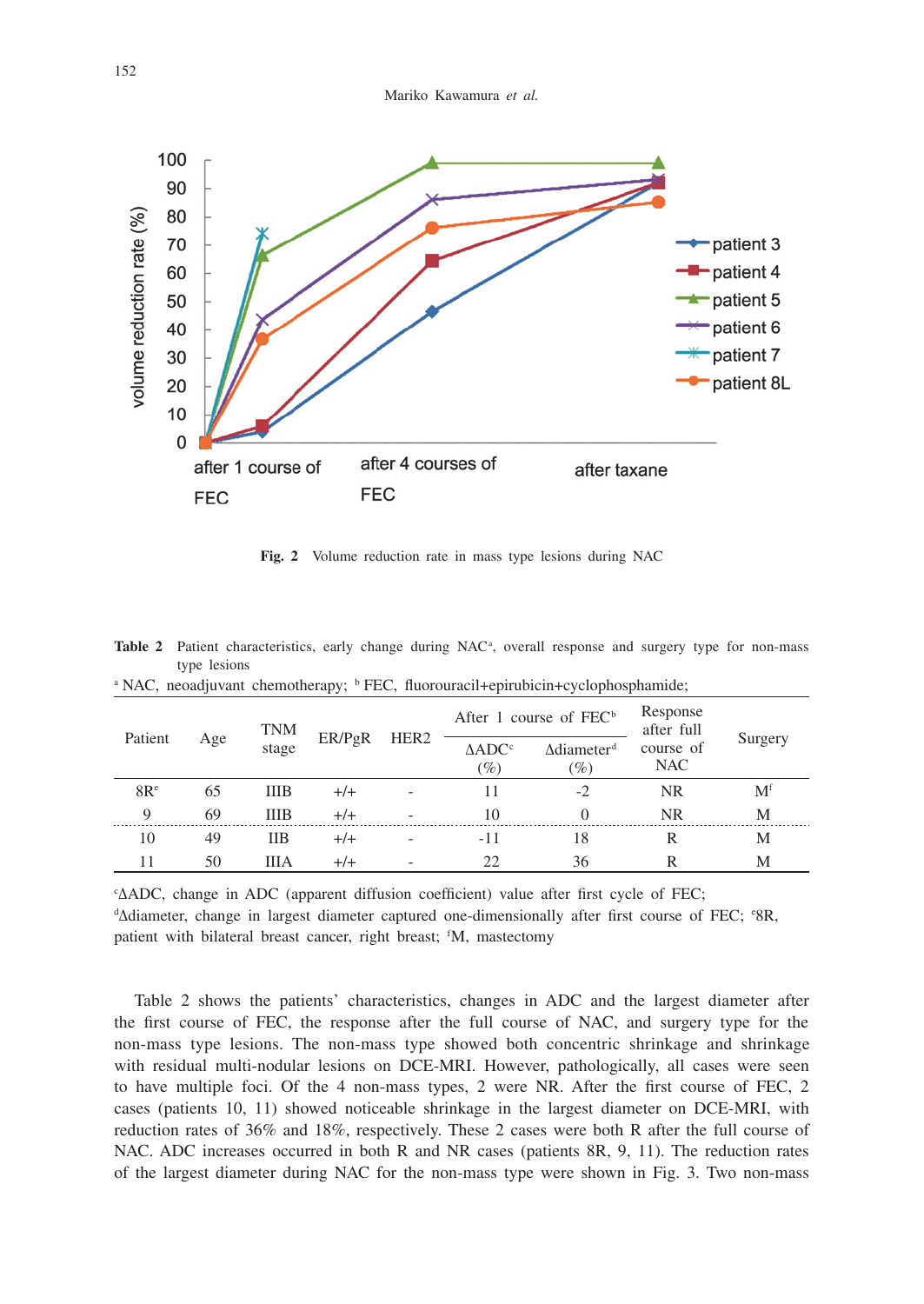

**Fig. 2** Volume reduction rate in mass type lesions during NAC

| <sup>a</sup> NAC, neoadjuvant chemotherapy; <sup>b</sup> FEC, fluorouracil+epirubicin+cyclophosphamide; |     |                     |        |                  |                             |                                  |                        |                |  |  |
|---------------------------------------------------------------------------------------------------------|-----|---------------------|--------|------------------|-----------------------------|----------------------------------|------------------------|----------------|--|--|
| Patient                                                                                                 | Age | <b>TNM</b><br>stage | ER/PgR | HER <sub>2</sub> | After 1 course of $FEC^b$   |                                  | Response<br>after full |                |  |  |
|                                                                                                         |     |                     |        |                  | $\triangle ADC^c$<br>$(\%)$ | Adiameter <sup>d</sup><br>$(\%)$ | course of<br>NAC       | Surgery        |  |  |
| 8R <sup>e</sup>                                                                                         | 65  | <b>IIIB</b>         | $+/-$  |                  | 11                          | $-2$                             | <b>NR</b>              | M <sup>f</sup> |  |  |
| 9                                                                                                       | 69  | <b>IIIB</b>         | $+/-$  |                  | 10                          | $\Omega$                         | NR                     | М              |  |  |
| 10                                                                                                      | 49  | <b>IIB</b>          | $+/-$  |                  | $-11$                       | 18                               | R                      | М              |  |  |
| 11                                                                                                      | 50  | ШA                  | $+/-$  |                  | 22                          | 36                               | R                      | М              |  |  |

Table 2 Patient characteristics, early change during NAC<sup>a</sup>, overall response and surgery type for non-mass type lesions

c ∆ADC, change in ADC (apparent diffusion coefficient) value after first cycle of FEC; d ∆diameter, change in largest diameter captured one-dimensionally after first course of FEC; e 8R, patient with bilateral breast cancer, right breast; <sup>f</sup>M, mastectomy

Table 2 shows the patients' characteristics, changes in ADC and the largest diameter after the first course of FEC, the response after the full course of NAC, and surgery type for the non-mass type lesions. The non-mass type showed both concentric shrinkage and shrinkage with residual multi-nodular lesions on DCE-MRI. However, pathologically, all cases were seen to have multiple foci. Of the 4 non-mass types, 2 were NR. After the first course of FEC, 2 cases (patients 10, 11) showed noticeable shrinkage in the largest diameter on DCE-MRI, with reduction rates of 36% and 18%, respectively. These 2 cases were both R after the full course of NAC. ADC increases occurred in both R and NR cases (patients 8R, 9, 11). The reduction rates of the largest diameter during NAC for the non-mass type were shown in Fig. 3. Two non-mass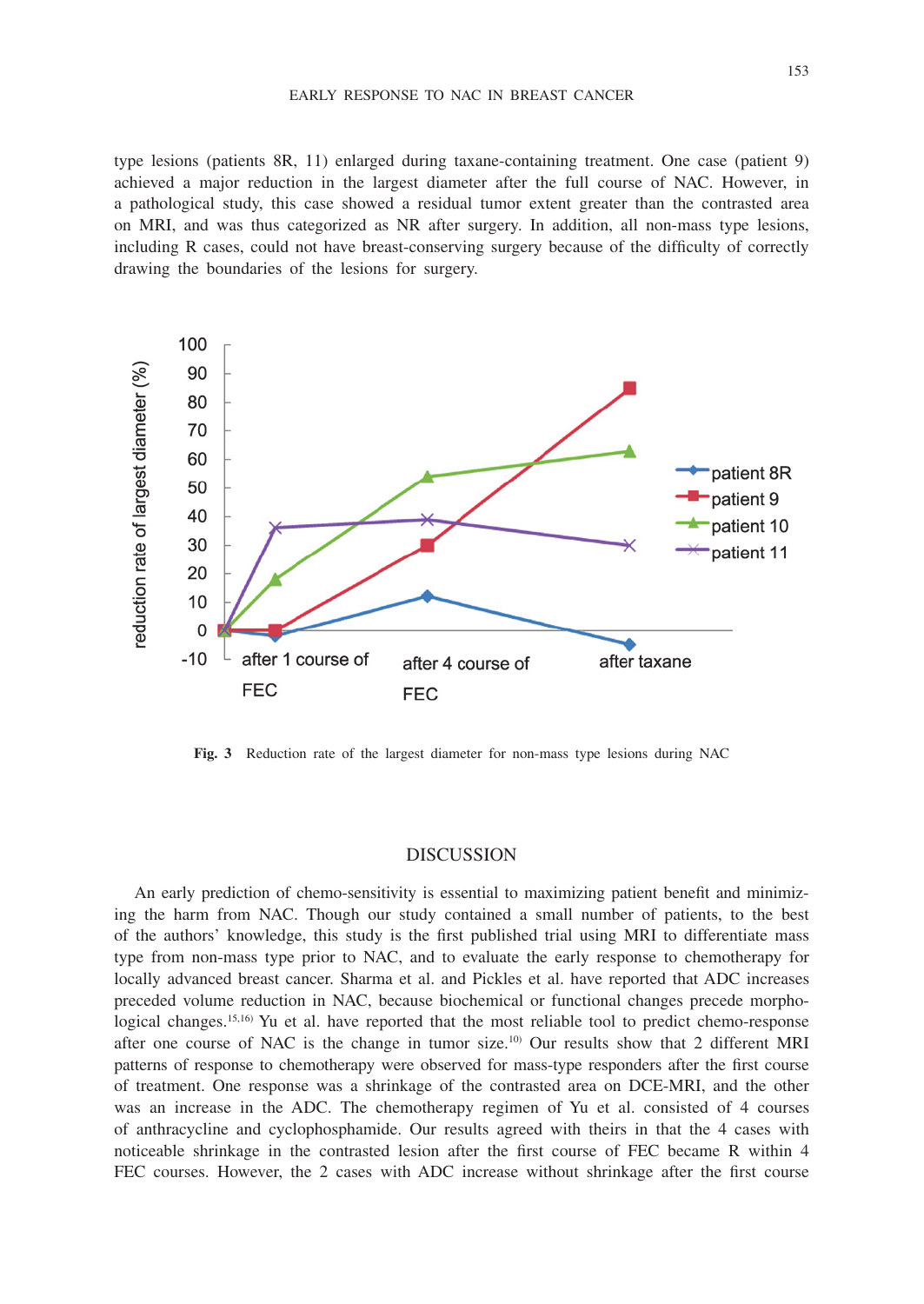#### EARLY RESPONSE TO NAC IN BREAST CANCER

type lesions (patients 8R, 11) enlarged during taxane-containing treatment. One case (patient 9) achieved a major reduction in the largest diameter after the full course of NAC. However, in a pathological study, this case showed a residual tumor extent greater than the contrasted area on MRI, and was thus categorized as NR after surgery. In addition, all non-mass type lesions, including R cases, could not have breast-conserving surgery because of the difficulty of correctly drawing the boundaries of the lesions for surgery.



**Fig. 3** Reduction rate of the largest diameter for non-mass type lesions during NAC

#### DISCUSSION

An early prediction of chemo-sensitivity is essential to maximizing patient benefit and minimizing the harm from NAC. Though our study contained a small number of patients, to the best of the authors' knowledge, this study is the first published trial using MRI to differentiate mass type from non-mass type prior to NAC, and to evaluate the early response to chemotherapy for locally advanced breast cancer. Sharma et al. and Pickles et al. have reported that ADC increases preceded volume reduction in NAC, because biochemical or functional changes precede morphological changes.<sup>15,16</sup>) Yu et al. have reported that the most reliable tool to predict chemo-response after one course of NAC is the change in tumor size.10) Our results show that 2 different MRI patterns of response to chemotherapy were observed for mass-type responders after the first course of treatment. One response was a shrinkage of the contrasted area on DCE-MRI, and the other was an increase in the ADC. The chemotherapy regimen of Yu et al. consisted of 4 courses of anthracycline and cyclophosphamide. Our results agreed with theirs in that the 4 cases with noticeable shrinkage in the contrasted lesion after the first course of FEC became R within 4 FEC courses. However, the 2 cases with ADC increase without shrinkage after the first course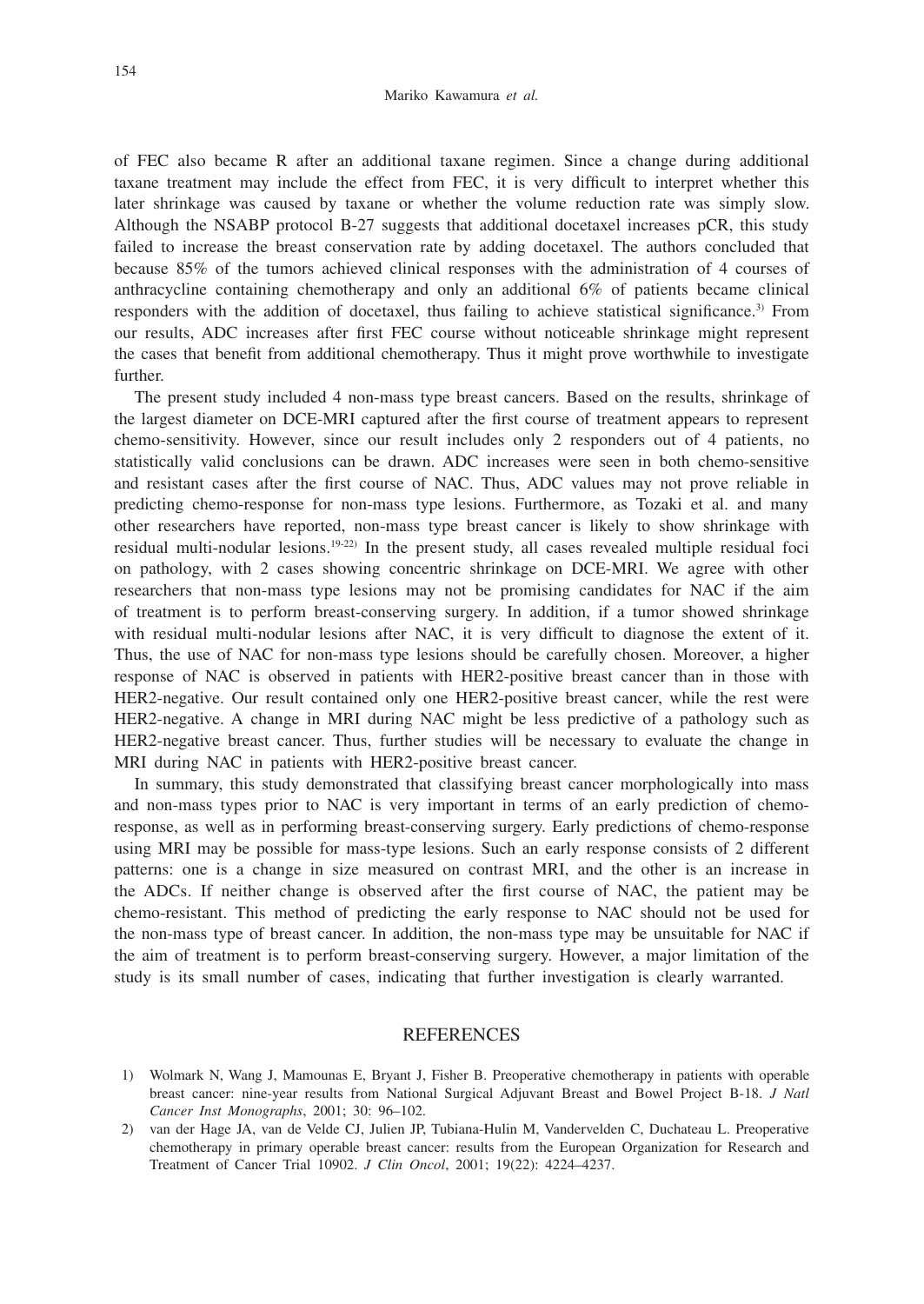of FEC also became R after an additional taxane regimen. Since a change during additional taxane treatment may include the effect from FEC, it is very difficult to interpret whether this later shrinkage was caused by taxane or whether the volume reduction rate was simply slow. Although the NSABP protocol B-27 suggests that additional docetaxel increases pCR, this study failed to increase the breast conservation rate by adding docetaxel. The authors concluded that because 85% of the tumors achieved clinical responses with the administration of 4 courses of anthracycline containing chemotherapy and only an additional 6% of patients became clinical responders with the addition of docetaxel, thus failing to achieve statistical significance.3) From our results, ADC increases after first FEC course without noticeable shrinkage might represent the cases that benefit from additional chemotherapy. Thus it might prove worthwhile to investigate further.

The present study included 4 non-mass type breast cancers. Based on the results, shrinkage of the largest diameter on DCE-MRI captured after the first course of treatment appears to represent chemo-sensitivity. However, since our result includes only 2 responders out of 4 patients, no statistically valid conclusions can be drawn. ADC increases were seen in both chemo-sensitive and resistant cases after the first course of NAC. Thus, ADC values may not prove reliable in predicting chemo-response for non-mass type lesions. Furthermore, as Tozaki et al. and many other researchers have reported, non-mass type breast cancer is likely to show shrinkage with residual multi-nodular lesions. $19-22$  In the present study, all cases revealed multiple residual foci on pathology, with 2 cases showing concentric shrinkage on DCE-MRI. We agree with other researchers that non-mass type lesions may not be promising candidates for NAC if the aim of treatment is to perform breast-conserving surgery. In addition, if a tumor showed shrinkage with residual multi-nodular lesions after NAC, it is very difficult to diagnose the extent of it. Thus, the use of NAC for non-mass type lesions should be carefully chosen. Moreover, a higher response of NAC is observed in patients with HER2-positive breast cancer than in those with HER2-negative. Our result contained only one HER2-positive breast cancer, while the rest were HER2-negative. A change in MRI during NAC might be less predictive of a pathology such as HER2-negative breast cancer. Thus, further studies will be necessary to evaluate the change in MRI during NAC in patients with HER2-positive breast cancer.

In summary, this study demonstrated that classifying breast cancer morphologically into mass and non-mass types prior to NAC is very important in terms of an early prediction of chemoresponse, as well as in performing breast-conserving surgery. Early predictions of chemo-response using MRI may be possible for mass-type lesions. Such an early response consists of 2 different patterns: one is a change in size measured on contrast MRI, and the other is an increase in the ADCs. If neither change is observed after the first course of NAC, the patient may be chemo-resistant. This method of predicting the early response to NAC should not be used for the non-mass type of breast cancer. In addition, the non-mass type may be unsuitable for NAC if the aim of treatment is to perform breast-conserving surgery. However, a major limitation of the study is its small number of cases, indicating that further investigation is clearly warranted.

### **REFERENCES**

<sup>1)</sup> Wolmark N, Wang J, Mamounas E, Bryant J, Fisher B. Preoperative chemotherapy in patients with operable breast cancer: nine-year results from National Surgical Adjuvant Breast and Bowel Project B-18. *J Natl Cancer Inst Monographs*, 2001; 30: 96–102.

<sup>2)</sup> van der Hage JA, van de Velde CJ, Julien JP, Tubiana-Hulin M, Vandervelden C, Duchateau L. Preoperative chemotherapy in primary operable breast cancer: results from the European Organization for Research and Treatment of Cancer Trial 10902. *J Clin Oncol*, 2001; 19(22): 4224–4237.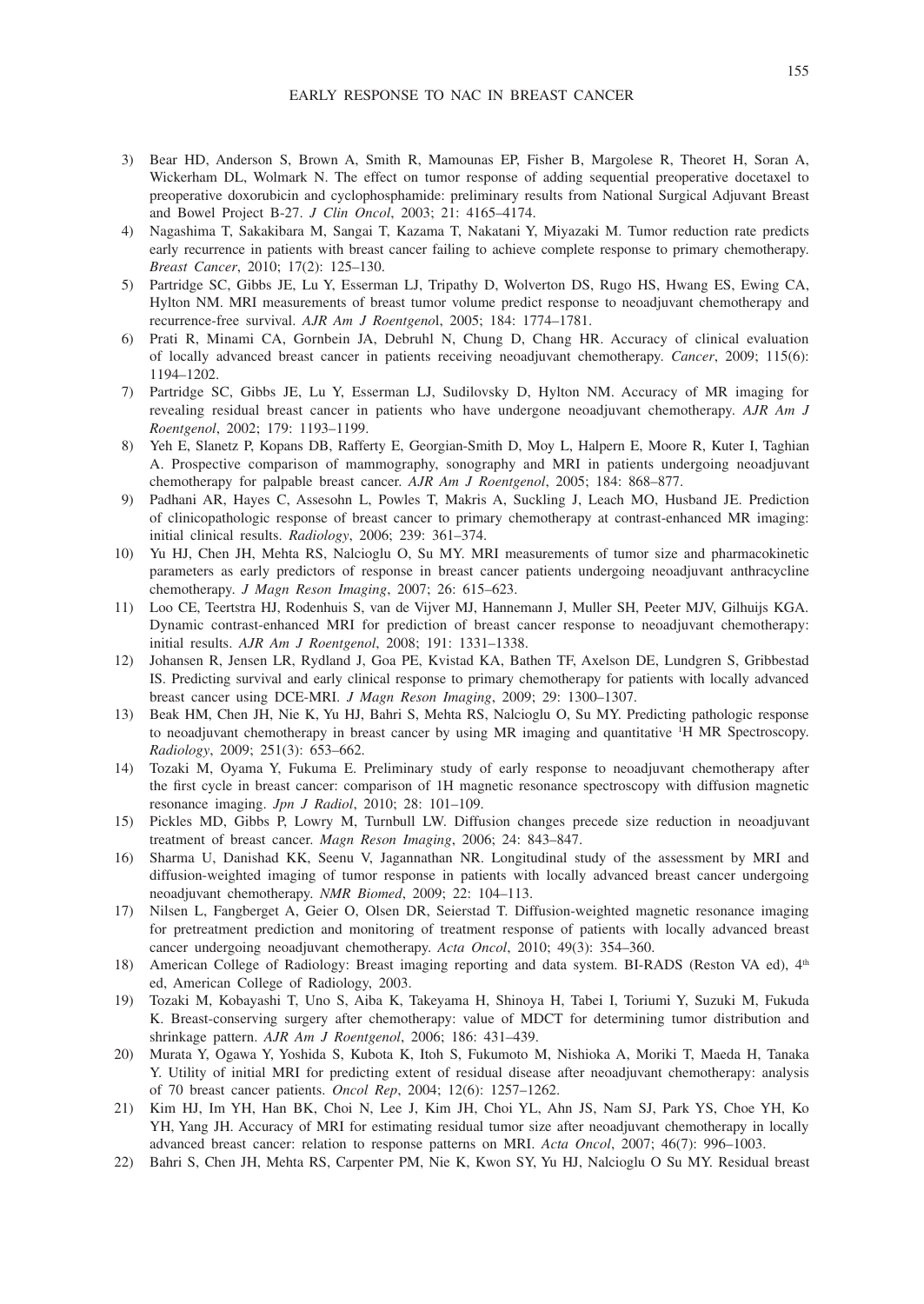- 3) Bear HD, Anderson S, Brown A, Smith R, Mamounas EP, Fisher B, Margolese R, Theoret H, Soran A, Wickerham DL, Wolmark N. The effect on tumor response of adding sequential preoperative docetaxel to preoperative doxorubicin and cyclophosphamide: preliminary results from National Surgical Adjuvant Breast and Bowel Project B-27. *J Clin Oncol*, 2003; 21: 4165–4174.
- 4) Nagashima T, Sakakibara M, Sangai T, Kazama T, Nakatani Y, Miyazaki M. Tumor reduction rate predicts early recurrence in patients with breast cancer failing to achieve complete response to primary chemotherapy. *Breast Cancer*, 2010; 17(2): 125–130.
- 5) Partridge SC, Gibbs JE, Lu Y, Esserman LJ, Tripathy D, Wolverton DS, Rugo HS, Hwang ES, Ewing CA, Hylton NM. MRI measurements of breast tumor volume predict response to neoadjuvant chemotherapy and recurrence-free survival. *AJR Am J Roentgeno*l, 2005; 184: 1774–1781.
- 6) Prati R, Minami CA, Gornbein JA, Debruhl N, Chung D, Chang HR. Accuracy of clinical evaluation of locally advanced breast cancer in patients receiving neoadjuvant chemotherapy. *Cancer*, 2009; 115(6): 1194–1202.
- 7) Partridge SC, Gibbs JE, Lu Y, Esserman LJ, Sudilovsky D, Hylton NM. Accuracy of MR imaging for revealing residual breast cancer in patients who have undergone neoadjuvant chemotherapy. *AJR Am J Roentgenol*, 2002; 179: 1193–1199.
- 8) Yeh E, Slanetz P, Kopans DB, Rafferty E, Georgian-Smith D, Moy L, Halpern E, Moore R, Kuter I, Taghian A. Prospective comparison of mammography, sonography and MRI in patients undergoing neoadjuvant chemotherapy for palpable breast cancer. *AJR Am J Roentgenol*, 2005; 184: 868–877.
- 9) Padhani AR, Hayes C, Assesohn L, Powles T, Makris A, Suckling J, Leach MO, Husband JE. Prediction of clinicopathologic response of breast cancer to primary chemotherapy at contrast-enhanced MR imaging: initial clinical results. *Radiology*, 2006; 239: 361–374.
- 10) Yu HJ, Chen JH, Mehta RS, Nalcioglu O, Su MY. MRI measurements of tumor size and pharmacokinetic parameters as early predictors of response in breast cancer patients undergoing neoadjuvant anthracycline chemotherapy. *J Magn Reson Imaging*, 2007; 26: 615–623.
- 11) Loo CE, Teertstra HJ, Rodenhuis S, van de Vijver MJ, Hannemann J, Muller SH, Peeter MJV, Gilhuijs KGA. Dynamic contrast-enhanced MRI for prediction of breast cancer response to neoadjuvant chemotherapy: initial results. *AJR Am J Roentgenol*, 2008; 191: 1331–1338.
- 12) Johansen R, Jensen LR, Rydland J, Goa PE, Kvistad KA, Bathen TF, Axelson DE, Lundgren S, Gribbestad IS. Predicting survival and early clinical response to primary chemotherapy for patients with locally advanced breast cancer using DCE-MRI. *J Magn Reson Imaging*, 2009; 29: 1300–1307.
- 13) Beak HM, Chen JH, Nie K, Yu HJ, Bahri S, Mehta RS, Nalcioglu O, Su MY. Predicting pathologic response to neoadjuvant chemotherapy in breast cancer by using MR imaging and quantitative <sup>1</sup>H MR Spectroscopy. *Radiology*, 2009; 251(3): 653–662.
- 14) Tozaki M, Oyama Y, Fukuma E. Preliminary study of early response to neoadjuvant chemotherapy after the first cycle in breast cancer: comparison of 1H magnetic resonance spectroscopy with diffusion magnetic resonance imaging. *Jpn J Radiol*, 2010; 28: 101–109.
- 15) Pickles MD, Gibbs P, Lowry M, Turnbull LW. Diffusion changes precede size reduction in neoadjuvant treatment of breast cancer. *Magn Reson Imaging*, 2006; 24: 843–847.
- 16) Sharma U, Danishad KK, Seenu V, Jagannathan NR. Longitudinal study of the assessment by MRI and diffusion-weighted imaging of tumor response in patients with locally advanced breast cancer undergoing neoadjuvant chemotherapy. *NMR Biomed*, 2009; 22: 104–113.
- 17) Nilsen L, Fangberget A, Geier O, Olsen DR, Seierstad T. Diffusion-weighted magnetic resonance imaging for pretreatment prediction and monitoring of treatment response of patients with locally advanced breast cancer undergoing neoadjuvant chemotherapy. *Acta Oncol*, 2010; 49(3): 354–360.
- 18) American College of Radiology: Breast imaging reporting and data system. BI-RADS (Reston VA ed), 4<sup>th</sup> ed, American College of Radiology, 2003.
- 19) Tozaki M, Kobayashi T, Uno S, Aiba K, Takeyama H, Shinoya H, Tabei I, Toriumi Y, Suzuki M, Fukuda K. Breast-conserving surgery after chemotherapy: value of MDCT for determining tumor distribution and shrinkage pattern. *AJR Am J Roentgenol*, 2006; 186: 431–439.
- 20) Murata Y, Ogawa Y, Yoshida S, Kubota K, Itoh S, Fukumoto M, Nishioka A, Moriki T, Maeda H, Tanaka Y. Utility of initial MRI for predicting extent of residual disease after neoadjuvant chemotherapy: analysis of 70 breast cancer patients. *Oncol Rep*, 2004; 12(6): 1257–1262.
- 21) Kim HJ, Im YH, Han BK, Choi N, Lee J, Kim JH, Choi YL, Ahn JS, Nam SJ, Park YS, Choe YH, Ko YH, Yang JH. Accuracy of MRI for estimating residual tumor size after neoadjuvant chemotherapy in locally advanced breast cancer: relation to response patterns on MRI. *Acta Oncol*, 2007; 46(7): 996–1003.
- 22) Bahri S, Chen JH, Mehta RS, Carpenter PM, Nie K, Kwon SY, Yu HJ, Nalcioglu O Su MY. Residual breast